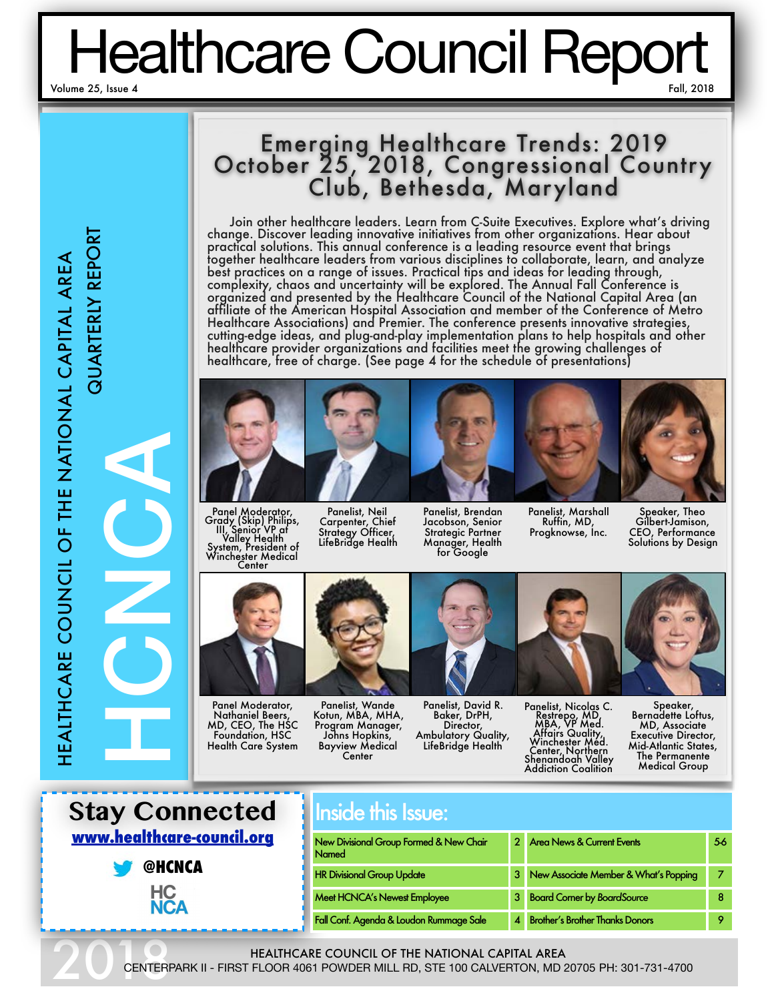# Healthcare Council Report

# **QUARTERLY REPORT** HEALTHCARE COUNCIL OF THE NATIONAL CAPITAL AREA HEALTHCARE COUNCIL OF THE NATIONAL CAPITAL AREA

QUARTERLY REPORT

# Emerging Healthcare Trends: 2019 October 25, 2018, Congressional Country Club, Bethesda, Maryland

Join other healthcare leaders. Learn from C-Suite Executives. Explore what's driving change. Discover leading innovative initiatives from other organizations. Hear about practical solutions. This annual conference is a leading resource event that brings together healthcare leaders from various disciplines to collaborate, learn, and analyze best practices on a range of issues. Practical tips and ideas for leading through, complexity, chaos and uncertainty will be explored. The Annual Fall Conference is organized and presented by the Healthcare Council of the National Capital Area (an affiliate of the American Hospital Association and member of the Conference of Metro Healthcare Associations) and Premier. The conference presents innovative strategies, cutting-edge ideas, and plug-and-play implementation plans to help hospitals and other healthcare provider organizations and facilities meet the growing challenges of healthcare, free of charge. (See page 4 for the schedule of presentations)



Panel Moderator, Grady (Skip) Philips, III, Senior VP at Valley Health System, President of Winchester Medical Center



Panel Moderator, Nathaniel Beers, MD, CEO, The HSC Foundation, HSC Health Care System

Panelist, Neil Carpenter, Chief Strategy Officer, LifeBridge Health Panelist, Brendan Jacobson, Senior Strategic Partner Manager, Health for Google

Panelist, Marshall Ruffin, MD, Progknowse, Inc.

Speaker, Theo Gilbert-Jamison, CEO, Performance Solutions by Design



Panelist, Wande Kotun, MBA, MHA, Program Manager, Johns Hopkins, Bayview Medical Center



Panelist, David R. Baker, DrPH, Director, Ambulatory Quality, LifeBridge Health

Panelist, Nicolas C.<br>
Restrepo, MD<br>
MBA, VP Med.<br>
Affairs Quality,<br>
Winchester Med.<br>
Center, Northern<br>
Shenandoah Valley Addiction Coalition

Speaker, Bernadette Loftus, MD, Associate Executive Director, Mid-Atlantic States, The Permanente Medical Group



**@HCNCA** HC<br>NCA

HCNCA

# Inside this Issue:

| New Divisional Group Formed & New Chair<br><b>Named</b> |   | <b>Area News &amp; Current Events</b>  | 56 |
|---------------------------------------------------------|---|----------------------------------------|----|
| <b>HR Divisional Group Update</b>                       | 3 | New Associate Member & What's Popping  |    |
| <b>Meet HCNCA's Newest Employee</b>                     | 3 | <b>Board Corner by BoardSource</b>     |    |
| Fall Conf. Agenda & Loudon Rummage Sale                 |   | <b>Brother's Brother Thanks Donors</b> |    |

HEALTHCARE COUNCIL OF THE NATIONAL CAPITAL AREA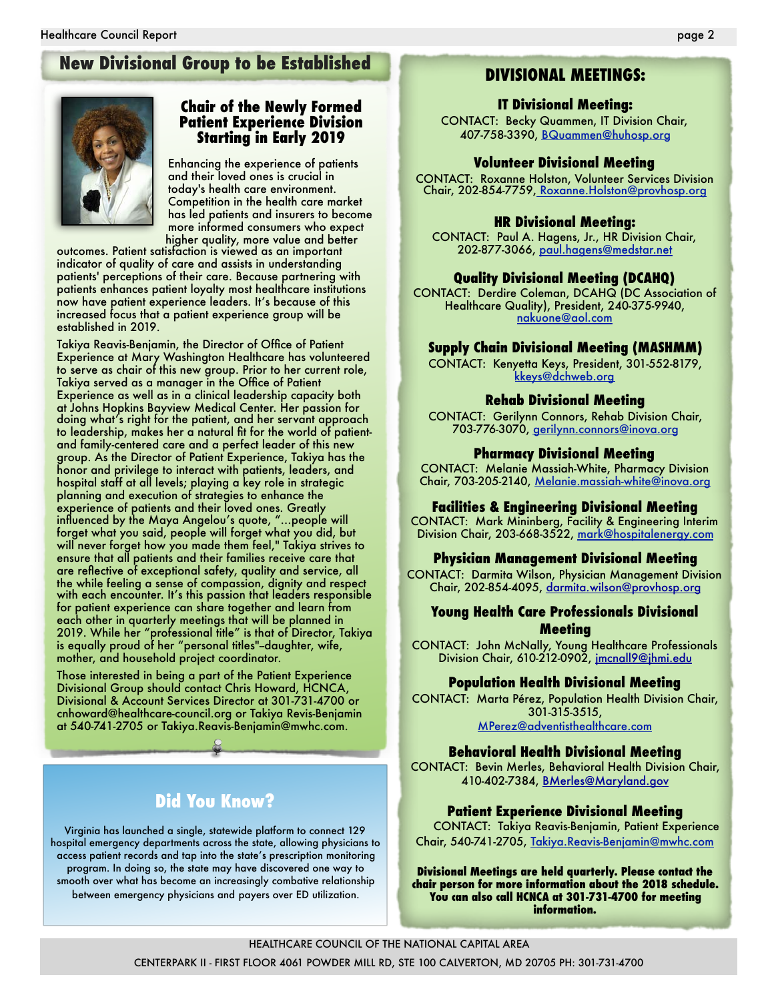# **New Divisional Group to be Established <b>DIVISIONAL MEETINGS:**



# **Chair of the Newly Formed Patient Experience Division Starting in Early 2019**

Enhancing the experience of patients and their loved ones is crucial in today's health care environment. Competition in the health care market has led patients and insurers to become more informed consumers who expect higher quality, more value and better

outcomes. Patient satisfaction is viewed as an important indicator of quality of care and assists in understanding patients' perceptions of their care. Because partnering with patients enhances patient loyalty most healthcare institutions now have patient experience leaders. It's because of this increased focus that a patient experience group will be established in 2019.

Takiya Reavis-Benjamin, the Director of Office of Patient Experience at Mary Washington Healthcare has volunteered to serve as chair of this new group. Prior to her current role, Takiya served as a manager in the Office of Patient Experience as well as in a clinical leadership capacity both at Johns Hopkins Bayview Medical Center. Her passion for doing what's right for the patient, and her servant approach to leadership, makes her a natural fit for the world of patientand family-centered care and a perfect leader of this new group. As the Director of Patient Experience, Takiya has the honor and privilege to interact with patients, leaders, and hospital staff at all levels; playing a key role in strategic planning and execution of strategies to enhance the experience of patients and their loved ones. Greatly influenced by the Maya Angelou's quote, "…people will forget what you said, people will forget what you did, but will never forget how you made them feel," Takiya strives to ensure that all patients and their families receive care that are reflective of exceptional safety, quality and service, all the while feeling a sense of compassion, dignity and respect with each encounter. It's this passion that leaders responsible for patient experience can share together and learn from each other in quarterly meetings that will be planned in 2019. While her "professional title" is that of Director, Takiya is equally proud of her "personal titles"--daughter, wife, mother, and household project coordinator.

Those interested in being a part of the Patient Experience Divisional Group should contact Chris Howard, HCNCA, Divisional & Account Services Director at 301-731-4700 or cnhoward@healthcare-council.org or Takiya Revis-Benjamin at 540-741-2705 or Takiya.Reavis-Benjamin@mwhc.com.

# **Did You Know?**

Virginia has launched a single, statewide platform to connect 129 hospital emergency departments across the state, allowing physicians to access patient records and tap into the state's prescription monitoring program. In doing so, the state may have discovered one way to smooth over what has become an increasingly combative relationship between emergency physicians and payers over ED utilization.

#### **IT Divisional Meeting:**

CONTACT: Becky Quammen, IT Division Chair, 407-758-3390, BQuammen@huhosp.org

#### **Volunteer Divisional Meeting**

CONTACT: Roxanne Holston, Volunteer Services Division Chair, 202-854-7759, Roxanne.Holston@provhosp.org

#### **HR Divisional Meeting:**

CONTACT: Paul A. Hagens, Jr., HR Division Chair, 202-877-3066, paul.hagens@medstar.net

#### **Quality Divisional Meeting (DCAHQ)**

CONTACT: Derdire Coleman, DCAHQ (DC Association of Healthcare Quality), President, 240-375-9940, nakuone@aol.com

#### **Supply Chain Divisional Meeting (MASHMM)**

CONTACT: Kenyetta Keys, President, 301-552-8179, kkeys@dchweb.org

#### **Rehab Divisional Meeting**

CONTACT: Gerilynn Connors, Rehab Division Chair, 703-776-3070, gerilynn.connors@inova.org

#### **Pharmacy Divisional Meeting**

CONTACT: Melanie Massiah-White, Pharmacy Division Chair, 703-205-2140, Melanie.massiah-white@inova.org

#### **Facilities & Engineering Divisional Meeting**

CONTACT: Mark Mininberg, Facility & Engineering Interim Division Chair, 203-668-3522, mark@hospitalenergy.com

#### **Physician Management Divisional Meeting**

CONTACT: Darmita Wilson, Physician Management Division Chair, 202-854-4095, [darmita.wilson@provhosp.org](mailto:darmita.wilson@provhosp.org)

#### **Young Health Care Professionals Divisional Meeting**

CONTACT: John McNally, Young Healthcare Professionals Division Chair, 610-212-0902, [jmcnall9@jhmi.edu](mailto:jmcnall9@jhmi.edu)

#### **Population Health Divisional Meeting**

CONTACT: Marta Pérez, Population Health Division Chair, 301-315-3515, [MPerez@adventisthealthcare.com](mailto:MPerez@adventisthealthcare.com)

#### **Behavioral Health Divisional Meeting**

CONTACT: Bevin Merles, Behavioral Health Division Chair, 410-402-7384, [BMerles@Maryland.gov](mailto:BMerles@maryland.gov)

#### **Patient Experience Divisional Meeting**

CONTACT: Takiya Reavis-Benjamin, Patient Experience Chair, 540-741-2705, Takiya.Reavis-Benjamin@mwhc.com

**Divisional Meetings are held quarterly. Please contact the chair person for more information about the 2018 schedule. You can also call HCNCA at 301-731-4700 for meeting information.**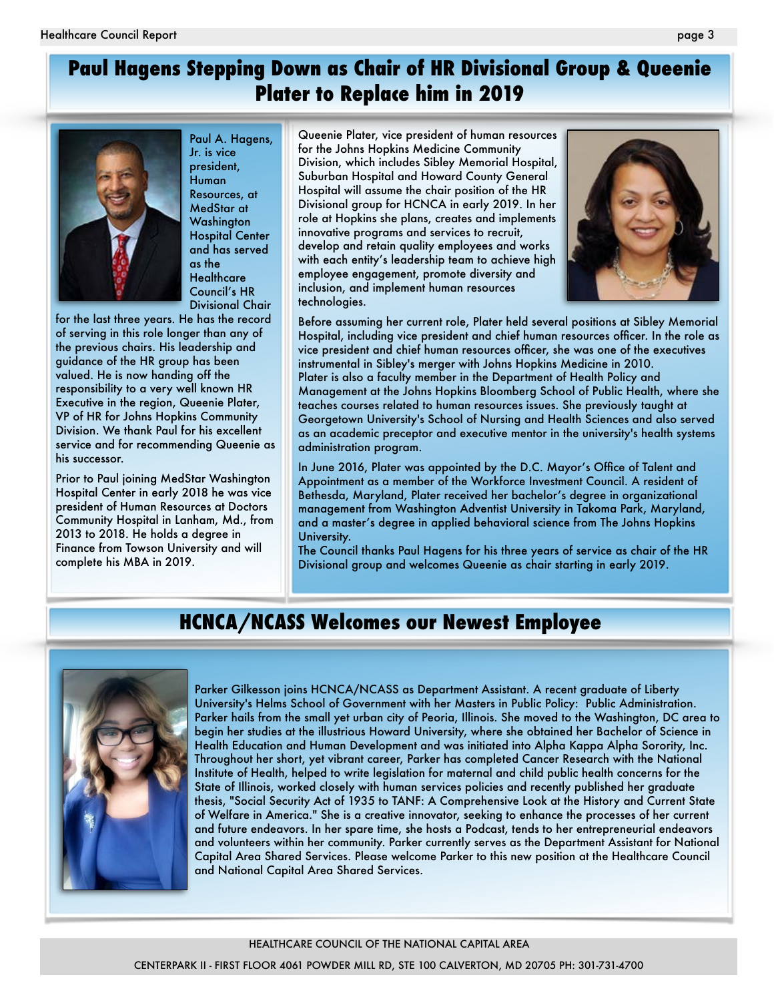# **Paul Hagens Stepping Down as Chair of HR Divisional Group & Queenie Plater to Replace him in 2019**



Paul A. Hagens, Jr. is vice president, **Human** Resources, at MedStar at **Washington** Hospital Center and has served as the **Healthcare** Council's HR Divisional Chair

for the last three years. He has the record of serving in this role longer than any of the previous chairs. His leadership and guidance of the HR group has been valued. He is now handing off the responsibility to a very well known HR Executive in the region, Queenie Plater, VP of HR for Johns Hopkins Community Division. We thank Paul for his excellent service and for recommending Queenie as his successor.

Prior to Paul joining MedStar Washington Hospital Center in early 2018 he was vice president of Human Resources at Doctors Community Hospital in Lanham, Md., from 2013 to 2018. He holds a degree in Finance from Towson University and will complete his MBA in 2019.

Queenie Plater, vice president of human resources for the Johns Hopkins Medicine Community Division, which includes Sibley Memorial Hospital, Suburban Hospital and Howard County General Hospital will assume the chair position of the HR Divisional group for HCNCA in early 2019. In her role at Hopkins she plans, creates and implements innovative programs and services to recruit, develop and retain quality employees and works with each entity's leadership team to achieve high employee engagement, promote diversity and inclusion, and implement human resources technologies.



Before assuming her current role, Plater held several positions at Sibley Memorial Hospital, including vice president and chief human resources officer. In the role as vice president and chief human resources officer, she was one of the executives instrumental in Sibley's merger with Johns Hopkins Medicine in 2010. Plater is also a faculty member in the Department of Health Policy and Management at the Johns Hopkins Bloomberg School of Public Health, where she teaches courses related to human resources issues. She previously taught at Georgetown University's School of Nursing and Health Sciences and also served as an academic preceptor and executive mentor in the university's health systems administration program.

In June 2016, Plater was appointed by the D.C. Mayor's Office of Talent and Appointment as a member of the Workforce Investment Council. A resident of Bethesda, Maryland, Plater received her bachelor's degree in organizational management from Washington Adventist University in Takoma Park, Maryland, and a master's degree in applied behavioral science from The Johns Hopkins University.

The Council thanks Paul Hagens for his three years of service as chair of the HR Divisional group and welcomes Queenie as chair starting in early 2019.

# **HCNCA/NCASS Welcomes our Newest Employee**



Parker Gilkesson joins HCNCA/NCASS as Department Assistant. A recent graduate of Liberty University's Helms School of Government with her Masters in Public Policy: Public Administration. Parker hails from the small yet urban city of Peoria, Illinois. She moved to the Washington, DC area to begin her studies at the illustrious Howard University, where she obtained her Bachelor of Science in Health Education and Human Development and was initiated into Alpha Kappa Alpha Sorority, Inc. Throughout her short, yet vibrant career, Parker has completed Cancer Research with the National Institute of Health, helped to write legislation for maternal and child public health concerns for the State of Illinois, worked closely with human services policies and recently published her graduate thesis, "Social Security Act of 1935 to TANF: A Comprehensive Look at the History and Current State of Welfare in America." She is a creative innovator, seeking to enhance the processes of her current and future endeavors. In her spare time, she hosts a Podcast, tends to her entrepreneurial endeavors and volunteers within her community. Parker currently serves as the Department Assistant for National Capital Area Shared Services. Please welcome Parker to this new position at the Healthcare Council and National Capital Area Shared Services.

#### HEALTHCARE COUNCIL OF THE NATIONAL CAPITAL AREA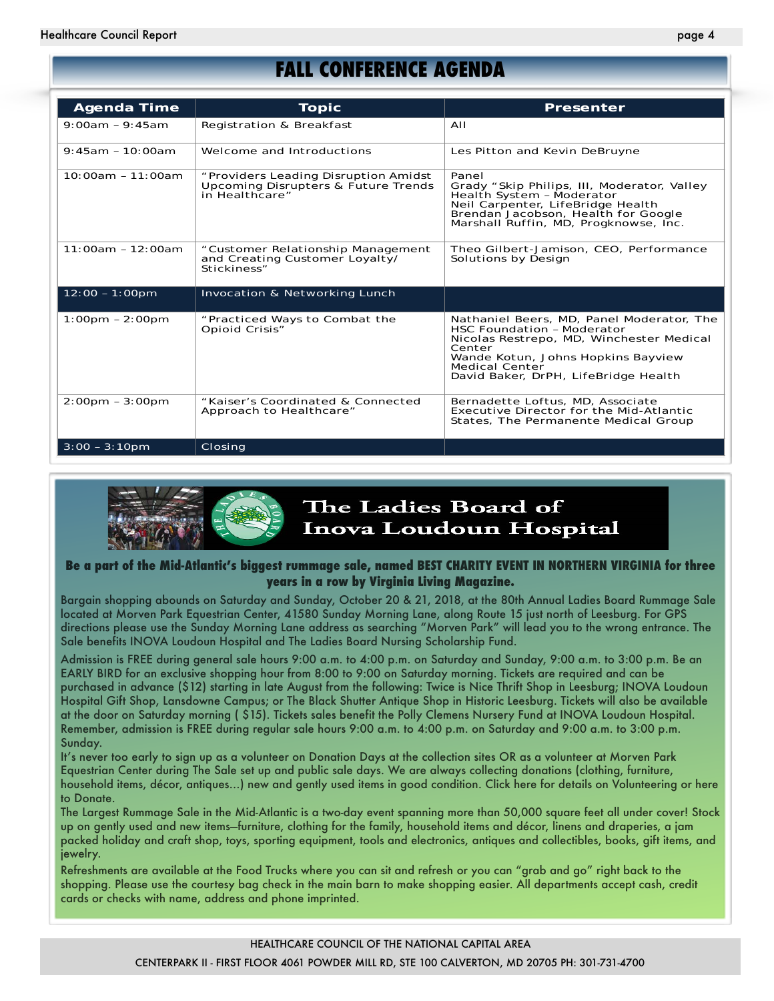# **FALL CONFERENCE AGENDA**

| Agenda Time                       | <b>Topic</b>                                                                                  | Presenter                                                                                                                                                                                                                            |
|-----------------------------------|-----------------------------------------------------------------------------------------------|--------------------------------------------------------------------------------------------------------------------------------------------------------------------------------------------------------------------------------------|
| $9:00am - 9:45am$                 | Registration & Breakfast                                                                      | AII                                                                                                                                                                                                                                  |
| $9:45am - 10:00am$                | Welcome and Introductions                                                                     | Les Pitton and Kevin DeBruyne                                                                                                                                                                                                        |
| $10:00am - 11:00am$               | "Providers Leading Disruption Amidst<br>Upcoming Disrupters & Future Trends<br>in Healthcare" | Panel<br>Grady "Skip Philips, III, Moderator, Valley<br>Health System - Moderator<br>Neil Carpenter, LifeBridge Health<br>Brendan Jacobson, Health for Google<br>Marshall Ruffin, MD, Progknowse, Inc.                               |
| $11:00am - 12:00am$               | "Customer Relationship Management<br>and Creating Customer Loyalty/<br>Stickiness"            | Theo Gilbert-Jamison, CEO, Performance<br>Solutions by Design                                                                                                                                                                        |
| $12:00 - 1:00 \text{pm}$          | Invocation & Networking Lunch                                                                 |                                                                                                                                                                                                                                      |
| $1:00 \text{pm} - 2:00 \text{pm}$ | "Practiced Ways to Combat the<br>Opioid Crisis"                                               | Nathaniel Beers, MD, Panel Moderator, The<br>HSC Foundation - Moderator<br>Nicolas Restrepo, MD, Winchester Medical<br>Center<br>Wande Kotun, Johns Hopkins Bayview<br><b>Medical Center</b><br>David Baker, DrPH, LifeBridge Health |
| $2:00 \text{pm} - 3:00 \text{pm}$ | "Kaiser's Coordinated & Connected<br>Approach to Healthcare"                                  | Bernadette Loftus, MD, Associate<br>Executive Director for the Mid-Atlantic<br>States, The Permanente Medical Group                                                                                                                  |
| $3:00 - 3:10$ pm                  | Closing                                                                                       |                                                                                                                                                                                                                                      |



#### **Be a part of the Mid-Atlantic's biggest rummage sale, named BEST CHARITY EVENT IN NORTHERN VIRGINIA for three years in a row by Virginia Living Magazine.**

Bargain shopping abounds on Saturday and Sunday, October 20 & 21, 2018, at the 80th Annual Ladies Board Rummage Sale located at Morven Park Equestrian Center, 41580 Sunday Morning Lane, along Route 15 just north of Leesburg. For GPS directions please use the Sunday Morning Lane address as searching "Morven Park" will lead you to the wrong entrance. The Sale benefits INOVA Loudoun Hospital and The Ladies Board Nursing Scholarship Fund.

Admission is FREE during general sale hours 9:00 a.m. to 4:00 p.m. on Saturday and Sunday, 9:00 a.m. to 3:00 p.m. Be an EARLY BIRD for an exclusive shopping hour from 8:00 to 9:00 on Saturday morning. Tickets are required and can be purchased in advance (\$12) starting in late August from the following: Twice is Nice Thrift Shop in Leesburg; INOVA Loudoun Hospital Gift Shop, Lansdowne Campus; or The Black Shutter Antique Shop in Historic Leesburg. Tickets will also be available at the door on Saturday morning ( \$15). Tickets sales benefit the Polly Clemens Nursery Fund at INOVA Loudoun Hospital. Remember, admission is FREE during regular sale hours 9:00 a.m. to 4:00 p.m. on Saturday and 9:00 a.m. to 3:00 p.m. Sunday.

It's never too early to sign up as a volunteer on Donation Days at the collection sites OR as a volunteer at Morven Park Equestrian Center during The Sale set up and public sale days. We are always collecting donations (clothing, furniture, household items, décor, antiques…) new and gently used items in good condition. Click here for details on Volunteering or here to Donate.

The Largest Rummage Sale in the Mid-Atlantic is a two-day event spanning more than 50,000 square feet all under cover! Stock up on gently used and new items—furniture, clothing for the family, household items and décor, linens and draperies, a jam packed holiday and craft shop, toys, sporting equipment, tools and electronics, antiques and collectibles, books, gift items, and jewelry.

Refreshments are available at the Food Trucks where you can sit and refresh or you can "grab and go" right back to the shopping. Please use the courtesy bag check in the main barn to make shopping easier. All departments accept cash, credit cards or checks with name, address and phone imprinted.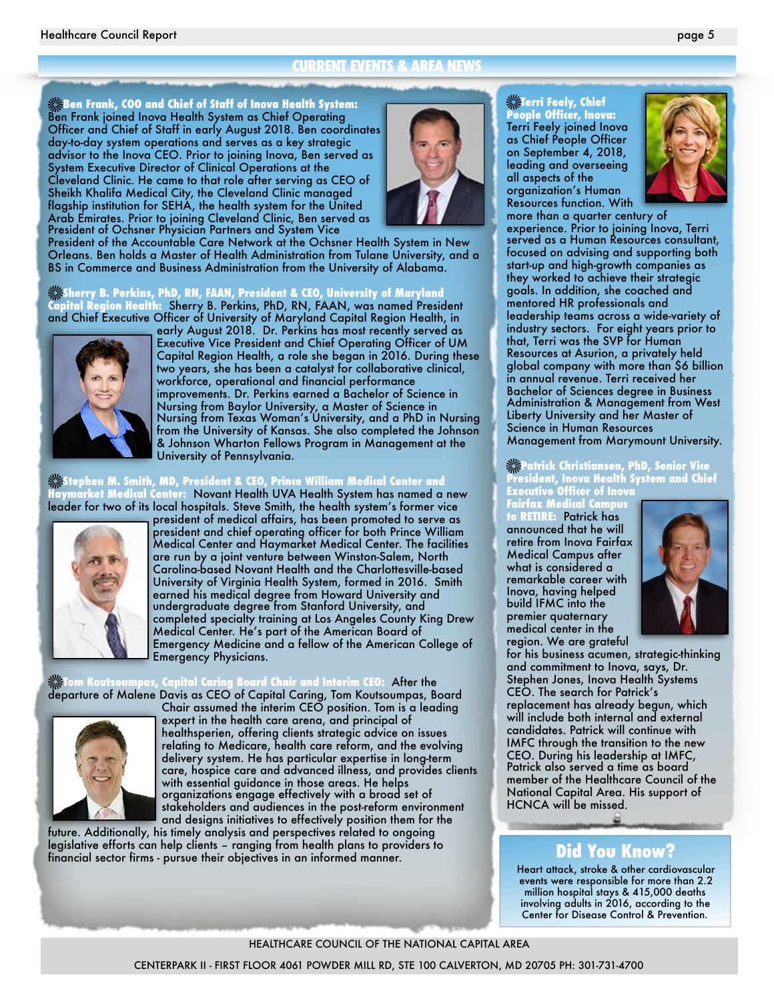#### **CURRENT EVENTS & AREA NEWS**

**Ben Frank, COO and Chief of Staff of Inova Health System:**  Ben Frank joined Inova Health System as Chief Operating Officer and Chief of Staff in early August 2018. Ben coordinates day-to-day system operations and serves as a key strategic advisor to the Inova CEO. Prior to joining Inova, Ben served as System Executive Director of Clinical Operations at the Cleveland Clinic. He came to that role after serving as CEO of Sheikh Khalifa Medical City, the Cleveland Clinic managed flagship institution for SEHA, the health system for the United Arab Emirates. Prior to joining Cleveland Clinic, Ben served as President of Ochsner Physician Partners and System Vice

President of the Accountable Care Network at the Ochsner Health System in New Orleans. Ben holds a Master of Health Administration from Tulane University, and a BS in Commerce and Business Administration from the University of Alabama.

#### **Sherry B. Perkins, PhD, RN, FAAN, President & CEO, University of Maryland Capital Region Health:** Sherry B. Perkins, PhD, RN, FAAN, was named President and Chief Executive Officer of University of Maryland Capital Region Health, in



early August 2018. Dr. Perkins has most recently served as Executive Vice President and Chief Operating Officer of UM Capital Region Health, a role she began in 2016. During these two years, she has been a catalyst for collaborative clinical, workforce, operational and financial performance improvements. Dr. Perkins earned a Bachelor of Science in Nursing from Baylor University, a Master of Science in Nursing from Texas Woman's University, and a PhD in Nursing from the University of Kansas. She also completed the Johnson & Johnson Wharton Fellows Program in Management at the University of Pennsylvania.

#### **Stephen M. Smith, MD, President & CEO, Prince William Medical Center and Haymarket Medical Center:** Novant Health UVA Health System has named a new leader for two of its local hospitals. Steve Smith, the health system's former vice



president of medical affairs, has been promoted to serve as president and chief operating officer for both Prince William Medical Center and Haymarket Medical Center. The facilities are run by a joint venture between Winston-Salem, North Carolina-based Novant Health and the Charlottesville-based University of Virginia Health System, formed in 2016. Smith earned his medical degree from Howard University and undergraduate degree from Stanford University, and completed specialty training at Los Angeles County King Drew Medical Center. He's part of the American Board of Emergency Medicine and a fellow of the American College of Emergency Physicians.

**Tom Koutsoumpas, Capital Caring Board Chair and Interim CEO:** After the



departure of Malene Davis as CEO of Capital Caring, Tom Koutsoumpas, Board Chair assumed the interim CEO position. Tom is a leading expert in the health care arena, and principal of healthsperien, offering clients strategic advice on issues relating to Medicare, health care reform, and the evolving delivery system. He has particular expertise in long-term care, hospice care and advanced illness, and provides clients with essential guidance in those areas. He helps organizations engage effectively with a broad set of stakeholders and audiences in the post-reform environment and designs initiatives to effectively position them for the

future. Additionally, his timely analysis and perspectives related to ongoing legislative efforts can help clients – ranging from health plans to providers to financial sector firms - pursue their objectives in an informed manner.



leading and overseeing<br>all assests of the all aspects ot the<br>organization's Human **Terri Feely, Chief People Officer, Inova:**  Terri Feely joined Inova as Chief People Officer on September 4, 2018, all aspects of the



Resources function. With more man a quarier ceniury or<br>experience. Prior to joining Inova, Terri focused on advising and supporting both start-up and high-growth companies as they worked to achieve their strategic goals. In addition, she coached and mentored HR professionals and **Mentored** leadership teams across a wide-variety of industry sectors. For eight years prior to more than a quarter century of served as a Human Resources consultant, that, Terri was the SVP for Human Resources at Asurion, a privately held global company with more than \$6 billion in annual revenue. Terri received her Bachelor of Sciences degree in Business Administration & Management from West Liberty University and her Master of Science in Human Resources Management from Marymount University.

#### **Patrick Christiansen, PhD, Senior Vice President, Inova Health System and Chief Executive Officer of Inova**

**Fairfax Medical Campus to RETIRE:** Patrick has announced that he will retire from Inova Fairfax Medical Campus after what is considered a remarkable career with Inova, having helped build IFMC into the premier quaternary medical center in the



region. We are grateful for his business acumen, strategic-thinking and commitment to Inova, says, Dr. Stephen Jones, Inova Health Systems CEO. The search for Patrick's replacement has already begun, which will include both internal and external candidates. Patrick will continue with IMFC through the transition to the new CEO. During his leadership at IMFC, Patrick also served a time as board member of the Healthcare Council of the National Capital Area. His support of HCNCA will be missed.

# **Did You Know?**

Heart attack, stroke & other cardiovascular events were responsible for more than 2.2 million hospital stays & 415,000 deaths involving adults in 2016, according to the Center for Disease Control & Prevention.

HEALTHCARE COUNCIL OF THE NATIONAL CAPITAL AREA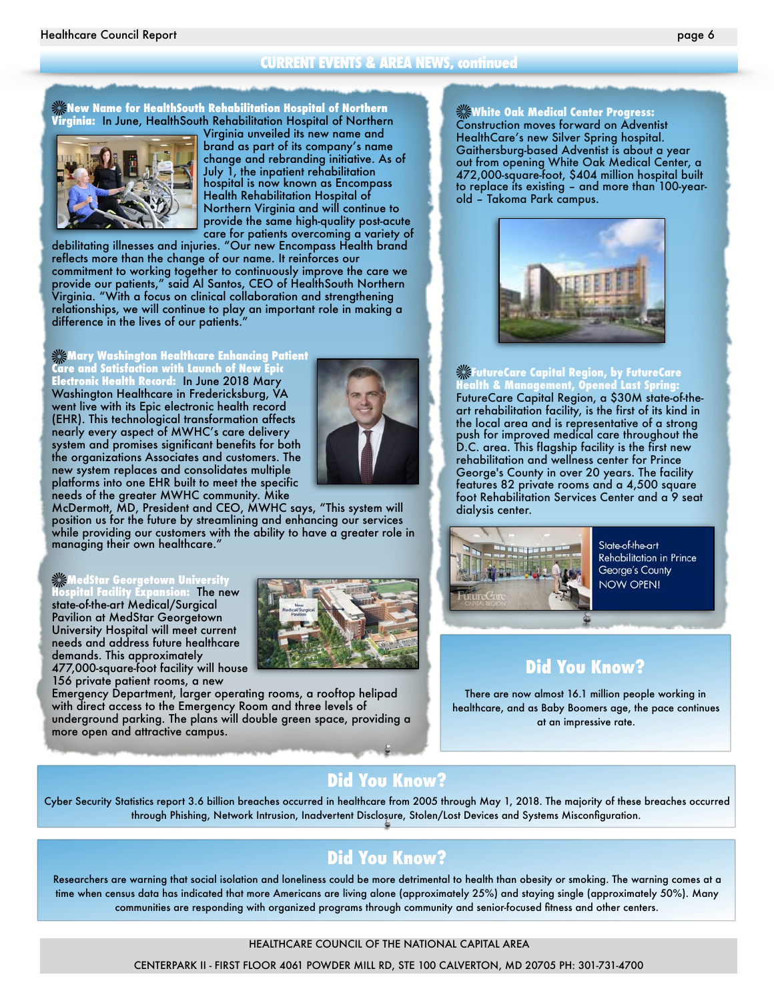#### **CURRENT EVENTS & AREA NEWS, continued**

#### **New Name for HealthSouth Rehabilitation Hospital of Northern Virginia:** In June, HealthSouth Rehabilitation Hospital of Northern



Virginia unveiled its new name and brand as part of its company's name change and rebranding initiative. As of July 1, the inpatient rehabilitation hospital is now known as Encompass Health Rehabilitation Hospital of Northern Virginia and will continue to provide the same high-quality post-acute care for patients overcoming a variety of

debilitating illnesses and injuries. "Our new Encompass Health brand reflects more than the change of our name. It reinforces our commitment to working together to continuously improve the care we provide our patients," said Al Santos, CEO of HealthSouth Northern Virginia. "With a focus on clinical collaboration and strengthening relationships, we will continue to play an important role in making a difference in the lives of our patients."

**Mary Washington Healthcare Enhancing Patient Care and Satisfaction with Launch of New Epic Electronic Health Record:** In June 2018 Mary Washington Healthcare in Fredericksburg, VA went live with its Epic electronic health record (EHR). This technological transformation affects nearly every aspect of MWHC's care delivery system and promises significant benefits for both the organizations Associates and customers. The new system replaces and consolidates multiple platforms into one EHR built to meet the specific needs of the greater MWHC community. Mike



McDermott, MD, President and CEO, MWHC says, "This system will position us for the future by streamlining and enhancing our services while providing our customers with the ability to have a greater role in managing their own healthcare."

#### **MedStar Georgetown University**

**Hospital Facility Expansion:** The new state-of-the-art Medical/Surgical Pavilion at MedStar Georgetown University Hospital will meet current needs and address future healthcare demands. This approximately 477,000-square-foot facility will house 156 private patient rooms, a new



Emergency Department, larger operating rooms, a rooftop helipad with direct access to the Emergency Room and three levels of underground parking. The plans will double green space, providing a more open and attractive campus.

#### **White Oak Medical Center Progress:**

Construction moves forward on Adventist HealthCare's new Silver Spring hospital. Gaithersburg-based Adventist is about a year out from opening White Oak Medical Center, a 472,000-square-foot, \$404 million hospital built to replace its existing – and more than 100-yearold – Takoma Park campus.



#### **FutureCare Capital Region, by FutureCare Health & Management, Opened Last Spring:**

FutureCare Capital Region, a \$30M state-of-theart rehabilitation facility, is the first of its kind in the local area and is representative of a strong push for improved medical care throughout the D.C. area. This flagship facility is the first new rehabilitation and wellness center for Prince George's County in over 20 years. The facility features 82 private rooms and a 4,500 square foot Rehabilitation Services Center and a 9 seat dialysis center.



State-of-the-art **Rehabilitation in Prince** George's County NOW OPEN!

## **Did You Know?**

There are now almost 16.1 million people working in healthcare, and as Baby Boomers age, the pace continues at an impressive rate.

## **Did You Know?**

Cyber Security Statistics report 3.6 billion breaches occurred in healthcare from 2005 through May 1, 2018. The majority of these breaches occurred through Phishing, Network Intrusion, Inadvertent Disclosure, Stolen/Lost Devices and Systems Misconfiguration.

# **Did You Know?**

Researchers are warning that social isolation and loneliness could be more detrimental to health than obesity or smoking. The warning comes at a time when census data has indicated that more Americans are living alone (approximately 25%) and staying single (approximately 50%). Many communities are responding with organized programs through community and senior-focused fitness and other centers.

#### HEALTHCARE COUNCIL OF THE NATIONAL CAPITAL AREA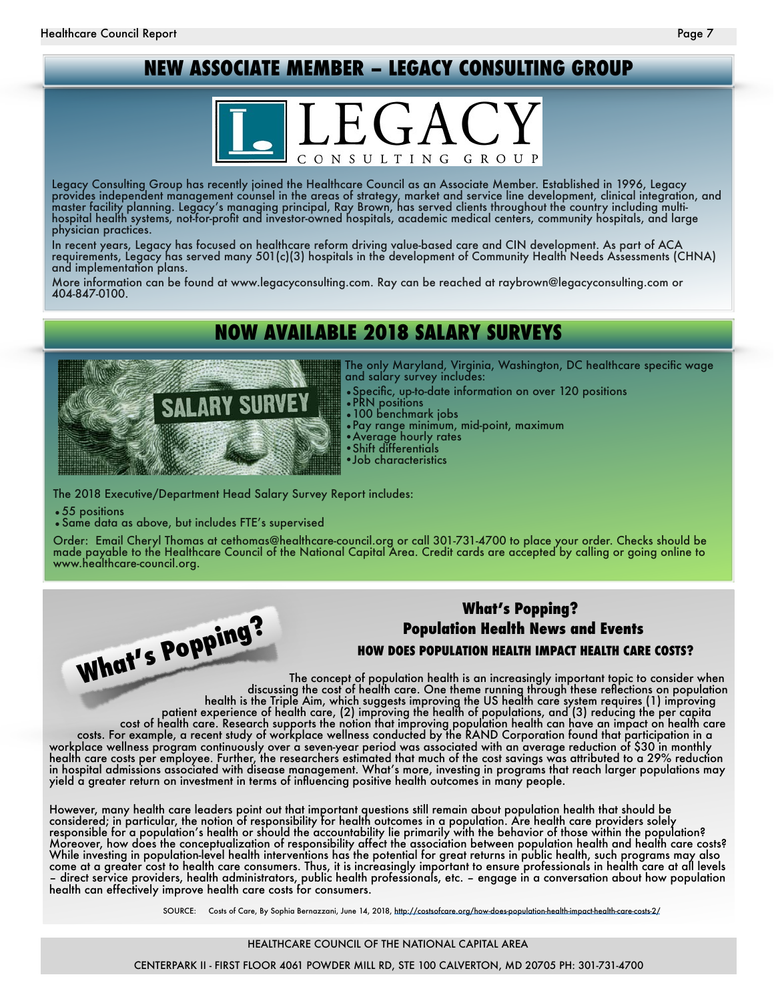# **NEW ASSOCIATE MEMBER – LEGACY CONSULTING GROUP**



Legacy Consulting Group has recently joined the Healthcare Council as an Associate Member. Established in 1996, Legacy provides independent management counsel in the areas of strategy, market and service line development, clinical integration, and master facility planning. Legacy's managing principal, Ray Brown, has served clients throughout the country including multihospital health systems, not-for-profit and investor-owned hospitals, academic medical centers, community hospitals, and large physician practices.

In recent years, Legacy has focused on healthcare reform driving value-based care and CIN development. As part of ACA requirements, Legacy has served many 501(c)(3) hospitals in the development of Community Health Needs Assessments (CHNA) and implementation plans.

More information can be found at www.legacyconsulting.com. Ray can be reached at raybrown@legacyconsulting.com or 404-847-0100.

# **NOW AVAILABLE 2018 SALARY SURVEYS**



The only Maryland, Virginia, Washington, DC healthcare specific wage and salary survey includes:

•Specific, up-to-date information on over 120 positions

- •PRN positions
- •100 benchmark jobs
- •Pay range minimum, mid-point, maximum
- •Average hourly rates
- Shift differentials •Job characteristics
- The 2018 Executive/Department Head Salary Survey Report includes:
- •55 positions
- •Same data as above, but includes FTE's supervised

Order: Email Cheryl Thomas at cethomas@healthcare-council.org or call 301-731-4700 to place your order. Checks should be made payable to the Healthcare Council of the National Capital Area. Credit cards are accepted by calling or going online to<br>www.healthcare-council.org.



# **What's Popping? Population Health News and Events**

**HOW DOES POPULATION HEALTH IMPACT HEALTH CARE COSTS?** 

The concept of population health is an increasingly important topic to consider when discussing the cost of health care. One theme running through these reflections on population health is the Triple Aim, which suggests improving the US health care system requires (1) improving patient experience of health care, (2) improving the health of populations, and (3) reducing the per capita cost of health care. Research supports the notion that improving population health can have an impact on health care costs. For example, a recent study of workplace wellness conducted by the RAND Corporation found that participation in a workplace wellness program continuously over a seven-year period was associated with an average reduction of \$30 in monthly health care costs per employee. Further, the researchers estimated that much of the cost savings was attributed to a 29% reduction in hospital admissions associated with disease management. What's more, investing in programs that reach larger populations may yield a greater return on investment in terms of influencing positive health outcomes in many people.

However, many health care leaders point out that important questions still remain about population health that should be considered; in particular, the notion of responsibility for health outcomes in a population. Are health care providers solely responsible for a population's health or should the accountability lie primarily with the behavior of those within the population? Moreover, how does the conceptualization of responsibility affect the association between population health and health care costs? While investing in population-level health interventions has the potential for great returns in public health, such programs may also come at a greater cost to health care consumers. Thus, it is increasingly important to ensure professionals in health care at all levels – direct service providers, health administrators, public health professionals, etc. – engage in a conversation about how population health can effectively improve health care costs for consumers.

SOURCE: Costs of Care, By Sophia Bernazzani, June 14, 2018,<http://costsofcare.org/how-does-population-health-impact-health-care-costs-2/>

#### HEALTHCARE COUNCIL OF THE NATIONAL CAPITAL AREA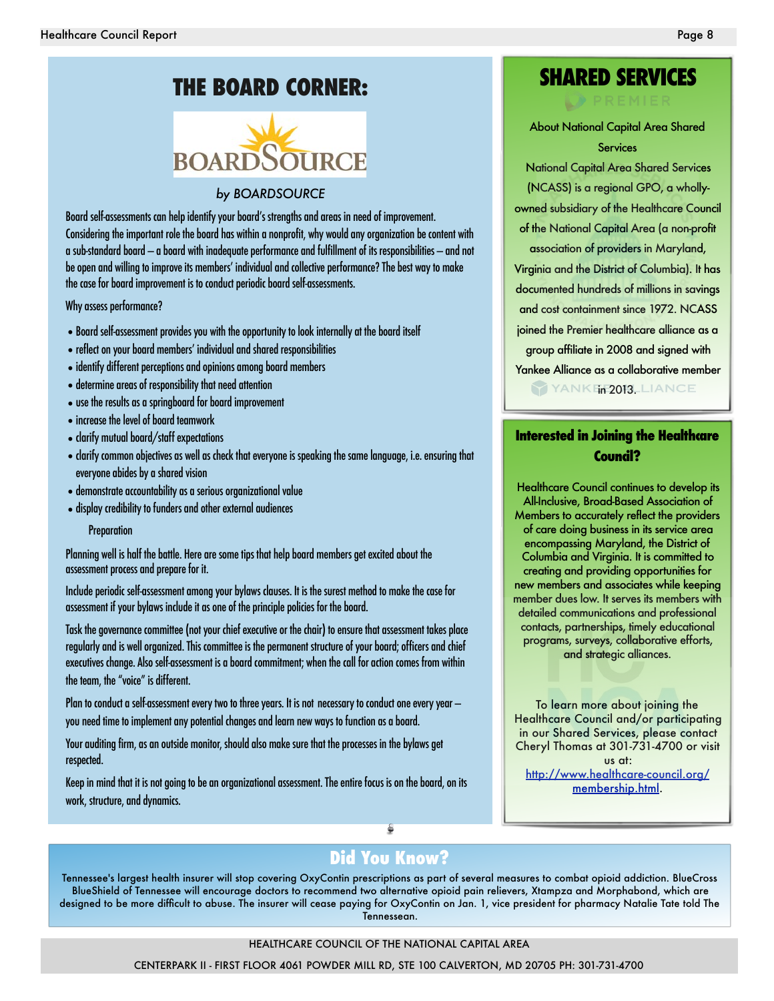# **THE BOARD CORNER:**



#### *by BOARDSOURCE*

Board self-assessments can help identify your board's strengths and areas in need of improvement. Considering the important role the board has within a nonprofit, why would any organization be content with a sub-standard board — a board with inadequate performance and fulfillment of its responsibilities — and not be open and willing to improve its members' individual and collective performance? The best way to make the case for board improvement is to conduct periodic board self-assessments.

Why assess performance?

- •Board self-assessment provides you with the opportunity to look internally at the board itself
- •reflect on your board members' individual and shared responsibilities
- •identify different perceptions and opinions among board members
- •determine areas of responsibility that need attention
- •use the results as a springboard for board improvement
- •increase the level of board teamwork
- •clarify mutual board/staff expectations
- •clarify common objectives as well as check that everyone is speaking the same language, i.e. ensuring that everyone abides by a shared vision
- •demonstrate accountability as a serious organizational value
- •display credibility to funders and other external audiences

#### **Preparation**

Planning well is half the battle. Here are some tips that help board members get excited about the assessment process and prepare for it.

Include periodic self-assessment among your bylaws clauses. It is the surest method to make the case for assessment if your bylaws include it as one of the principle policies for the board.

Task the governance committee (not your chief executive or the chair) to ensure that assessment takes place regularly and is well organized. This committee is the permanent structure of your board; officers and chief executives change. Also self-assessment is a board commitment; when the call for action comes from within the team, the "voice" is different.

Plan to conduct a self-assessment every two to three years. It is not necessary to conduct one every year you need time to implement any potential changes and learn new ways to function as a board.

Your auditing firm, as an outside monitor, should also make sure that the processes in the bylaws get respected.

Keep in mind that it is not going to be an organizational assessment. The entire focus is on the board, on its work, structure, and dynamics.

# **SHARED SERVICES**

About National Capital Area Shared **Services** 

National Capital Area Shared Services (NCASS) is a regional GPO, a whollyowned subsidiary of the Healthcare Council of the National Capital Area (a non-profit

association of providers in Maryland, Virginia and the District of Columbia). It has documented hundreds of millions in savings and cost containment since 1972. NCASS joined the Premier healthcare alliance as a group affiliate in 2008 and signed with Yankee Alliance as a collaborative member YANK in 2013. LIANCE

**Interested in Joining the Healthcare Council?** 

Healthcare Council continues to develop its All-Inclusive, Broad-Based Association of Members to accurately reflect the providers of care doing business in its service area encompassing Maryland, the District of Columbia and Virginia. It is committed to creating and providing opportunities for new members and associates while keeping member dues low. It serves its members with detailed communications and professional contacts, partnerships, timely educational programs, surveys, collaborative efforts, and strategic alliances.

To learn more about joining the Healthcare Council and/or participating in our Shared Services, please contact Cheryl Thomas at 301-731-4700 or visit us at:

[http://www.healthcare-council.org/](http://www.healthcare-council.org/membership.html) membership.html.

# **Did You Know?**

Tennessee's largest health insurer will stop covering OxyContin prescriptions as part of several measures to combat opioid addiction. BlueCross BlueShield of Tennessee will encourage doctors to recommend two alternative opioid pain relievers, Xtampza and Morphabond, which are designed to be more difficult to abuse. The insurer will cease paying for OxyContin on Jan. 1, vice president for pharmacy Natalie Tate told The Tennessean.

#### HEALTHCARE COUNCIL OF THE NATIONAL CAPITAL AREA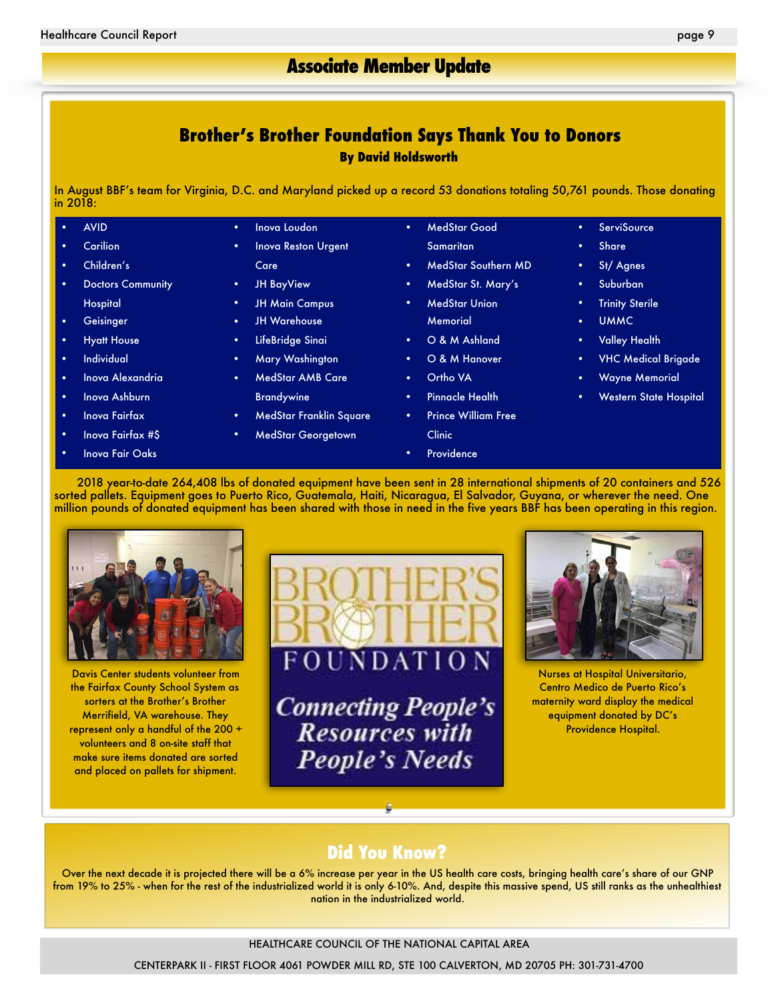## **Brother's Brother Foundation Says Thank You to Donors By David Holdsworth**

In August BBF's team for Virginia, D.C. and Maryland picked up a record 53 donations totaling 50,761 pounds. Those donating in 2018:

| ٠         | <b>AVID</b>              | $\bullet$ | Inova Loudon               | $\bullet$ | <b>MedStar Good</b>        | $\bullet$ | <b>ServiSource</b>            |
|-----------|--------------------------|-----------|----------------------------|-----------|----------------------------|-----------|-------------------------------|
| ٠         | <b>Carilion</b>          | $\bullet$ | <b>Inova Reston Urgent</b> |           | Samaritan                  | ٠         | <b>Share</b>                  |
| $\bullet$ | Children's               |           | Care                       | $\bullet$ | MedStar Southern MD        | ٠         | St/Agnes                      |
| ٠         | <b>Doctors Community</b> | ٠         | <b>JH BayView</b>          | $\bullet$ | MedStar St. Mary's         | ٠         | Suburban                      |
|           | <b>Hospital</b>          | ٠         | <b>JH Main Campus</b>      | $\bullet$ | <b>MedStar Union</b>       | ٠         | <b>Trinity Sterile</b>        |
| ٠         | Geisinger                | $\bullet$ | <b>JH Warehouse</b>        |           | <b>Memorial</b>            | $\bullet$ | UMMC.                         |
| ٠         | <b>Hyatt House</b>       | $\bullet$ | LifeBridge Sinai           | $\bullet$ | O & M Ashland              | $\bullet$ | <b>Valley Health</b>          |
| $\bullet$ | <b>Individual</b>        | ٠         | Mary Washington            | $\bullet$ | O & M Hanover              | ٠         | <b>VHC Medical Brigade</b>    |
| ٠         | Inova Alexandria         | $\bullet$ | <b>MedStar AMB Care</b>    | $\bullet$ | Ortho VA                   | ٠         | <b>Wayne Memorial</b>         |
| ٠         | Inova Ashburn            |           | <b>Brandywine</b>          | ٠         | <b>Pinnacle Health</b>     | ٠         | <b>Western State Hospital</b> |
| ٠         | Inova Fairfax            | ٠         | MedStar Franklin Square    | $\bullet$ | <b>Prince William Free</b> |           |                               |
| $\bullet$ | Inova Fairfax #\$        | ٠         | <b>MedStar Georgetown</b>  |           | Clinic                     |           |                               |
| ٠         | Inova Fair Oaks          |           |                            | ٠         | Providence                 |           |                               |

2018 year-to-date 264,408 lbs of donated equipment have been sent in 28 international shipments of 20 containers and 526 sorted pallets. Equipment goes to Puerto Rico, Guatemala, Haiti, Nicaragua, El Salvador, Guyana, or wherever the need. One million pounds of donated equipment has been shared with those in need in the five years BBF has been operating in this region.



Davis Center students volunteer from the Fairfax County School System as sorters at the Brother's Brother Merrifield, VA warehouse. They represent only a handful of the 200 + volunteers and 8 on-site staff that make sure items donated are sorted and placed on pallets for shipment.



**Connecting People's**<br>Resources with **People's Needs** 



Nurses at Hospital Universitario, Centro Medico de Puerto Rico's maternity ward display the medical equipment donated by DC's Providence Hospital.

# **Did You Know?**

Over the next decade it is projected there will be a 6% increase per year in the US health care costs, bringing health care's share of our GNP from 19% to 25% - when for the rest of the industrialized world it is only 6-10%. And, despite this massive spend, US still ranks as the unhealthiest nation in the industrialized world.

#### HEALTHCARE COUNCIL OF THE NATIONAL CAPITAL AREA